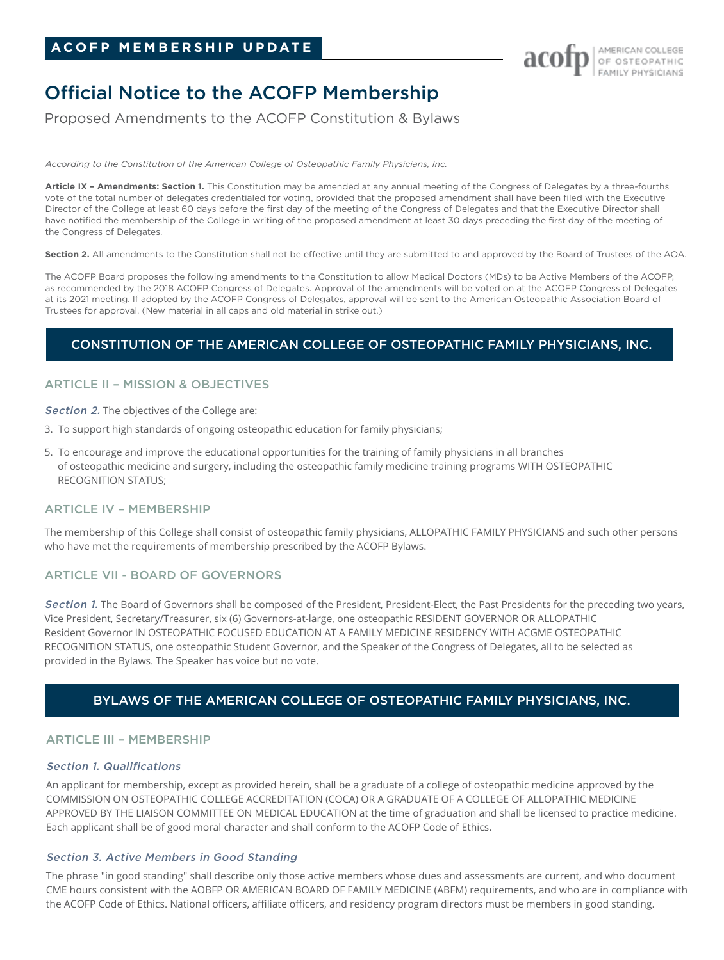# Official Notice to the ACOFP Membership

Proposed Amendments to the ACOFP Constitution & Bylaws

*According to the Constitution of the American College of Osteopathic Family Physicians, Inc.*

**Article IX – Amendments: Section 1.** This Constitution may be amended at any annual meeting of the Congress of Delegates by a three-fourths vote of the total number of delegates credentialed for voting, provided that the proposed amendment shall have been filed with the Executive Director of the College at least 60 days before the first day of the meeting of the Congress of Delegates and that the Executive Director shall have notified the membership of the College in writing of the proposed amendment at least 30 days preceding the first day of the meeting of the Congress of Delegates.

Section 2. All amendments to the Constitution shall not be effective until they are submitted to and approved by the Board of Trustees of the AOA.

The ACOFP Board proposes the following amendments to the Constitution to allow Medical Doctors (MDs) to be Active Members of the ACOFP, as recommended by the 2018 ACOFP Congress of Delegates. Approval of the amendments will be voted on at the ACOFP Congress of Delegates at its 2021 meeting. If adopted by the ACOFP Congress of Delegates, approval will be sent to the American Osteopathic Association Board of Trustees for approval. (New material in all caps and old material in strike out.)

# CONSTITUTION OF THE AMERICAN COLLEGE OF OSTEOPATHIC FAMILY PHYSICIANS, INC.

# ARTICLE II – MISSION & OBJECTIVES

Section 2. The objectives of the College are:

- 3. To support high standards of ongoing osteopathic education for family physicians;
- 5. To encourage and improve the educational opportunities for the training of family physicians in all branches of osteopathic medicine and surgery, including the osteopathic family medicine training programs WITH OSTEOPATHIC RECOGNITION STATUS;

# ARTICLE IV – MEMBERSHIP

The membership of this College shall consist of osteopathic family physicians, ALLOPATHIC FAMILY PHYSICIANS and such other persons who have met the requirements of membership prescribed by the ACOFP Bylaws.

# ARTICLE VII - BOARD OF GOVERNORS

Section 1. The Board of Governors shall be composed of the President, President-Elect, the Past Presidents for the preceding two years, Vice President, Secretary/Treasurer, six (6) Governors-at-large, one osteopathic RESIDENT GOVERNOR OR ALLOPATHIC Resident Governor IN OSTEOPATHIC FOCUSED EDUCATION AT A FAMILY MEDICINE RESIDENCY WITH ACGME OSTEOPATHIC RECOGNITION STATUS, one osteopathic Student Governor, and the Speaker of the Congress of Delegates, all to be selected as provided in the Bylaws. The Speaker has voice but no vote.

# BYLAWS OF THE AMERICAN COLLEGE OF OSTEOPATHIC FAMILY PHYSICIANS, INC.

# ARTICLE III – MEMBERSHIP

# Section 1. Qualifications

An applicant for membership, except as provided herein, shall be a graduate of a college of osteopathic medicine approved by the COMMISSION ON OSTEOPATHIC COLLEGE ACCREDITATION (COCA) OR A GRADUATE OF A COLLEGE OF ALLOPATHIC MEDICINE APPROVED BY THE LIAISON COMMITTEE ON MEDICAL EDUCATION at the time of graduation and shall be licensed to practice medicine. Each applicant shall be of good moral character and shall conform to the ACOFP Code of Ethics.

# Section 3. Active Members in Good Standing

The phrase "in good standing" shall describe only those active members whose dues and assessments are current, and who document CME hours consistent with the AOBFP OR AMERICAN BOARD OF FAMILY MEDICINE (ABFM) requirements, and who are in compliance with the ACOFP Code of Ethics. National officers, affiliate officers, and residency program directors must be members in good standing.